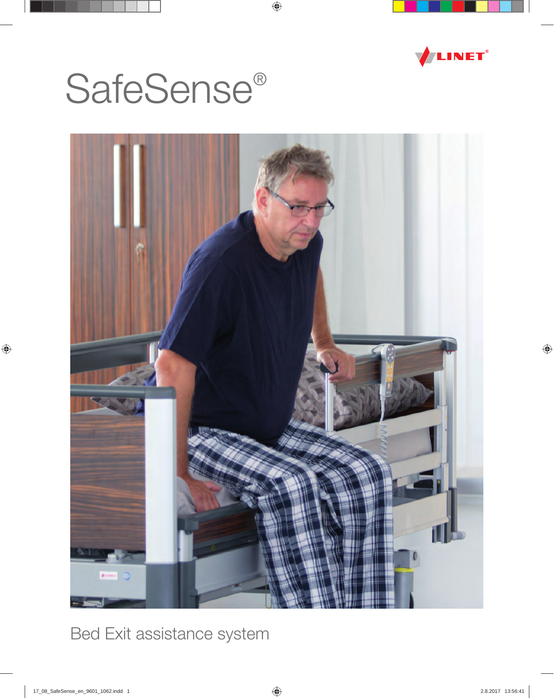

# SafeSense®



Bed Exit assistance system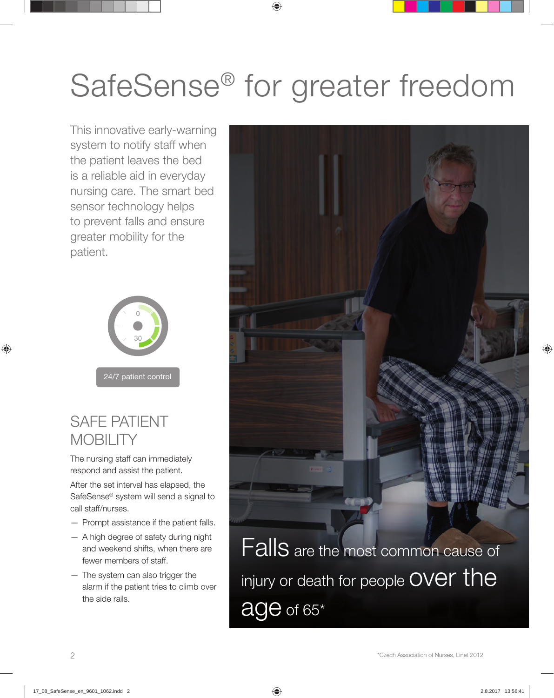## SafeSense® for greater freedom

This innovative early-warning system to notify staff when the patient leaves the bed is a reliable aid in everyday nursing care. The smart bed sensor technology helps to prevent falls and ensure greater mobility for the patient.



#### SAFE PATIENT **MOBILITY**

The nursing staff can immediately respond and assist the patient.

After the set interval has elapsed, the SafeSense® system will send a signal to call staff/nurses.

- Prompt assistance if the patient falls.
- A high degree of safety during night and weekend shifts, when there are fewer members of staff.
- The system can also trigger the alarm if the patient tries to climb over the side rails.



age of 65\*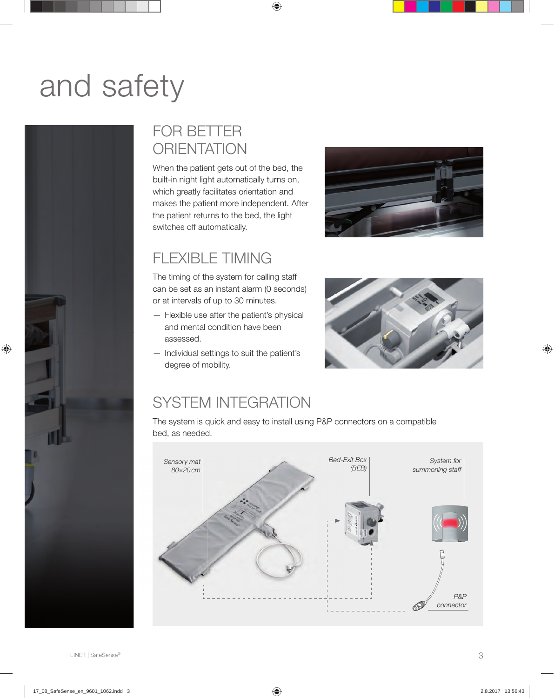## and safety



#### FOR BETTER **ORIENTATION**

When the patient gets out of the bed, the built-in night light automatically turns on, which greatly facilitates orientation and makes the patient more independent. After the patient returns to the bed, the light switches off automatically.



### FLEXIBLE TIMING

The timing of the system for calling staff can be set as an instant alarm (0 seconds) or at intervals of up to 30 minutes.

- Flexible use after the patient's physical and mental condition have been assessed.
- Individual settings to suit the patient's degree of mobility.



#### SYSTEM INTEGRATION

The system is quick and easy to install using P&P connectors on a compatible bed, as needed.